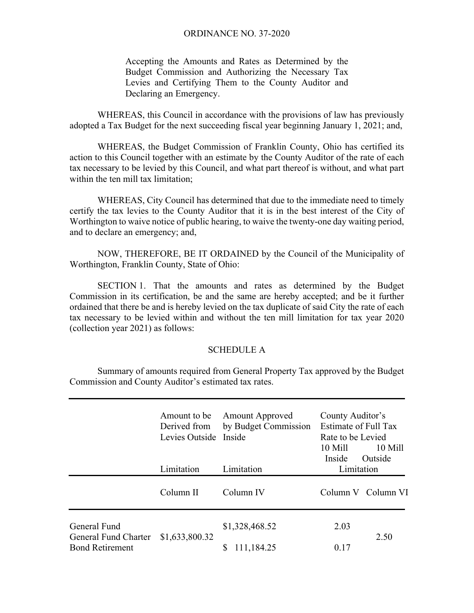Accepting the Amounts and Rates as Determined by the Budget Commission and Authorizing the Necessary Tax Levies and Certifying Them to the County Auditor and Declaring an Emergency.

 WHEREAS, this Council in accordance with the provisions of law has previously adopted a Tax Budget for the next succeeding fiscal year beginning January 1, 2021; and,

 WHEREAS, the Budget Commission of Franklin County, Ohio has certified its action to this Council together with an estimate by the County Auditor of the rate of each tax necessary to be levied by this Council, and what part thereof is without, and what part within the ten mill tax limitation;

WHEREAS, City Council has determined that due to the immediate need to timely certify the tax levies to the County Auditor that it is in the best interest of the City of Worthington to waive notice of public hearing, to waive the twenty-one day waiting period, and to declare an emergency; and,

NOW, THEREFORE, BE IT ORDAINED by the Council of the Municipality of Worthington, Franklin County, State of Ohio:

SECTION 1. That the amounts and rates as determined by the Budget Commission in its certification, be and the same are hereby accepted; and be it further ordained that there be and is hereby levied on the tax duplicate of said City the rate of each tax necessary to be levied within and without the ten mill limitation for tax year 2020 (collection year 2021) as follows:

## SCHEDULE A

 Summary of amounts required from General Property Tax approved by the Budget Commission and County Auditor's estimated tax rates.

|                                      | Amount to be<br>Derived from<br>Levies Outside Inside | <b>Amount Approved</b><br>by Budget Commission | County Auditor's<br><b>Estimate of Full Tax</b><br>Rate to be Levied<br>10 Mill<br>10 Mill<br>Outside<br>Inside |                    |
|--------------------------------------|-------------------------------------------------------|------------------------------------------------|-----------------------------------------------------------------------------------------------------------------|--------------------|
|                                      | Limitation                                            | Limitation                                     | Limitation                                                                                                      |                    |
|                                      | Column II                                             | Column IV                                      |                                                                                                                 | Column V Column VI |
| General Fund<br>General Fund Charter | \$1,633,800.32                                        | \$1,328,468.52                                 | 2.03                                                                                                            | 2.50               |
| <b>Bond Retirement</b>               |                                                       | 111,184.25                                     | 0.17                                                                                                            |                    |